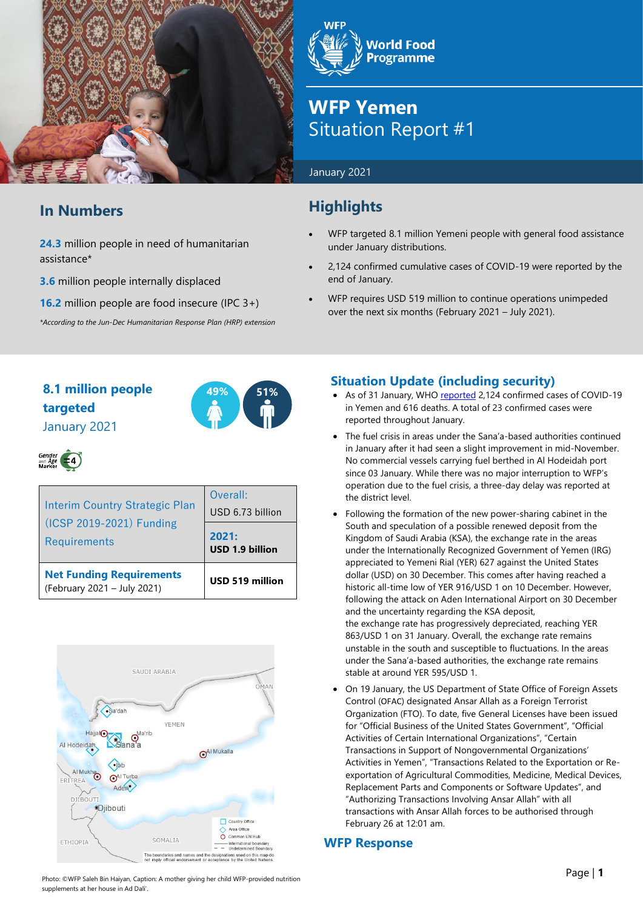

# **In Numbers**

**24.3** million people in need of humanitarian assistance\*

**3.6** million people internally displaced

**16.2** million people are food insecure (IPC 3+)

*\*According to the Jun-Dec Humanitarian Response Plan (HRP) extension*

**World Food Programme** 

# **WFP Yemen** Situation Report #1

### January 2021

# **Highlights**

- WFP targeted 8.1 million Yemeni people with general food assistance under January distributions.
- 2,124 confirmed cumulative cases of COVID-19 were reported by the end of January.
- WFP requires USD 519 million to continue operations unimpeded over the next six months (February 2021 – July 2021).

# **8.1 million people 49% 51% targeted** January 2021





| <b>Interim Country Strategic Plan</b><br>(ICSP 2019-2021) Funding<br><b>Requirements</b> | Overall:<br>USD 6.73 billion |  |  |
|------------------------------------------------------------------------------------------|------------------------------|--|--|
|                                                                                          | 2021:<br>USD 1.9 billion     |  |  |
| <b>Net Funding Requirements</b><br>(February 2021 - July 2021)                           | USD 519 million              |  |  |



## **Situation Update (including security)**

- As of 31 January, WHO [reported](https://app.powerbi.com/view?r=eyJrIjoiZjE2NzJjZDItNDgyZi00NDFkLWFlMjItNjA2MjIwMWYzODJkIiwidCI6ImY2MTBjMGI3LWJkMjQtNGIzOS04MTBiLTNkYzI4MGFmYjU5MCIsImMiOjh9) 2,124 confirmed cases of COVID-19 in Yemen and 616 deaths. A total of 23 confirmed cases were reported throughout January.
- The fuel crisis in areas under the Sana'a-based authorities continued in January after it had seen a slight improvement in mid-November. No commercial vessels carrying fuel berthed in Al Hodeidah port since 03 January. While there was no major interruption to WFP's operation due to the fuel crisis, a three-day delay was reported at the district level.
- Following the formation of the new power-sharing cabinet in the South and speculation of a possible renewed deposit from the Kingdom of Saudi Arabia (KSA), the exchange rate in the areas under the Internationally Recognized Government of Yemen (IRG) appreciated to Yemeni Rial (YER) 627 against the United States dollar (USD) on 30 December. This comes after having reached a historic all-time low of YER 916/USD 1 on 10 December. However, following the attack on Aden International Airport on 30 December and the uncertainty regarding the KSA deposit, the exchange rate has progressively depreciated, reaching YER 863/USD 1 on 31 January. Overall, the exchange rate remains unstable in the south and susceptible to fluctuations. In the areas under the Sana'a-based authorities, the exchange rate remains stable at around YER 595/USD 1.
- On 19 January, the US Department of State Office of Foreign Assets Control ([OFAC](https://home.treasury.gov/policy-issues/financial-sanctions/recent-actions/20210119)) designated Ansar Allah as a Foreign Terrorist Organization (FTO). To date, five General Licenses have been issued for "Official Business of the United States Government", "Official Activities of Certain International Organizations", "Certain Transactions in Support of Nongovernmental Organizations' Activities in Yemen", "Transactions Related to the Exportation or Reexportation of Agricultural Commodities, Medicine, Medical Devices, Replacement Parts and Components or Software Updates", and "Authorizing Transactions Involving Ansar Allah" with all transactions with Ansar Allah forces to be authorised through February 26 at 12:01 am.

## **WFP Response**

Photo: ©WFP Saleh Bin Haiyan, Caption: A mother giving her child WFP-provided nutrition supplements at her house in Ad Dali'.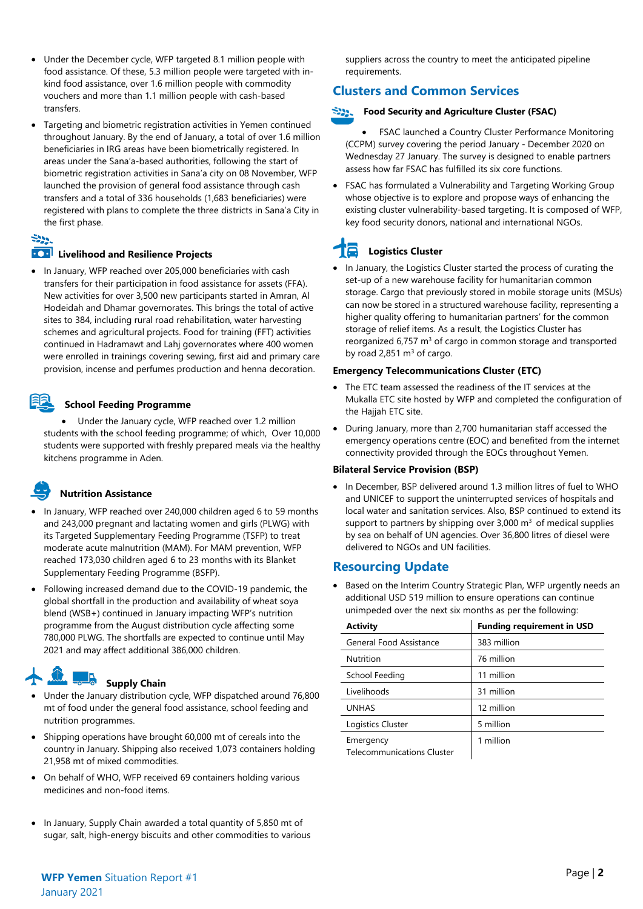- Under the December cycle, WFP targeted 8.1 million people with food assistance. Of these, 5.3 million people were targeted with inkind food assistance, over 1.6 million people with commodity vouchers and more than 1.1 million people with cash-based transfers.
- Targeting and biometric registration activities in Yemen continued throughout January. By the end of January, a total of over 1.6 million beneficiaries in IRG areas have been biometrically registered. In areas under the Sana'a-based authorities, following the start of biometric registration activities in Sana'a city on 08 November, WFP launched the provision of general food assistance through cash transfers and a total of 336 households (1,683 beneficiaries) were registered with plans to complete the three districts in Sana'a City in the first phase.

## $-222$

#### **ECP** Livelihood and Resilience Projects

• In January, WFP reached over 205,000 beneficiaries with cash transfers for their participation in food assistance for assets (FFA). New activities for over 3,500 new participants started in Amran, Al Hodeidah and Dhamar governorates. This brings the total of active sites to 384, including rural road rehabilitation, water harvesting schemes and agricultural projects. Food for training (FFT) activities continued in Hadramawt and Lahj governorates where 400 women were enrolled in trainings covering sewing, first aid and primary care provision, incense and perfumes production and henna decoration.

#### **School Feeding Programme**

• Under the January cycle, WFP reached over 1.2 million students with the school feeding programme; of which, Over 10,000 students were supported with freshly prepared meals via the healthy kitchens programme in Aden.

## **Nutrition Assistance**

- In January, WFP reached over 240,000 children aged 6 to 59 months and 243,000 pregnant and lactating women and girls (PLWG) with its Targeted Supplementary Feeding Programme (TSFP) to treat moderate acute malnutrition (MAM). For MAM prevention, WFP reached 173,030 children aged 6 to 23 months with its Blanket Supplementary Feeding Programme (BSFP).
- Following increased demand due to the COVID-19 pandemic, the global shortfall in the production and availability of wheat soya blend (WSB+) continued in January impacting WFP's nutrition programme from the August distribution cycle affecting some 780,000 PLWG. The shortfalls are expected to continue until May 2021 and may affect additional 386,000 children.

# **Supply Chain**

- Under the January distribution cycle, WFP dispatched around 76,800 mt of food under the general food assistance, school feeding and nutrition programmes.
- Shipping operations have brought 60,000 mt of cereals into the country in January. Shipping also received 1,073 containers holding 21,958 mt of mixed commodities.
- On behalf of WHO, WFP received 69 containers holding various medicines and non-food items.
- In January, Supply Chain awarded a total quantity of 5,850 mt of sugar, salt, high-energy biscuits and other commodities to various

suppliers across the country to meet the anticipated pipeline requirements.

## **Clusters and Common Services**

#### **Food Security and Agriculture Cluster (FSAC)**

FSAC launched a Country Cluster Performance Monitoring (CCPM) survey covering the period January - December 2020 on Wednesday 27 January. The survey is designed to enable partners assess how far FSAC has fulfilled its six core functions.

• FSAC has formulated a Vulnerability and Targeting Working Group whose objective is to explore and propose ways of enhancing the existing cluster vulnerability-based targeting. It is composed of WFP, key food security donors, national and international NGOs.

# **Logistics Cluster**

• In January, the Logistics Cluster started the process of curating the set-up of a new warehouse facility for humanitarian common storage. Cargo that previously stored in mobile storage units (MSUs) can now be stored in a structured warehouse facility, representing a higher quality offering to humanitarian partners' for the common storage of relief items. As a result, the Logistics Cluster has reorganized 6,757  $m<sup>3</sup>$  of cargo in common storage and transported by road 2,851  $m<sup>3</sup>$  of cargo.

#### **Emergency Telecommunications Cluster (ETC)**

- The ETC team assessed the readiness of the IT services at the Mukalla ETC site hosted by WFP and completed the configuration of the Hajjah ETC site.
- During January, more than 2,700 humanitarian staff accessed the emergency operations centre (EOC) and benefited from the internet connectivity provided through the EOCs throughout Yemen.

#### **Bilateral Service Provision (BSP)**

• In December, BSP delivered around 1.3 million litres of fuel to WHO and UNICEF to support the uninterrupted services of hospitals and local water and sanitation services. Also, BSP continued to extend its support to partners by shipping over  $3,000 \text{ m}^3$  of medical supplies by sea on behalf of UN agencies. Over 36,800 litres of diesel were delivered to NGOs and UN facilities.

## **Resourcing Update**

• Based on the Interim Country Strategic Plan, WFP urgently needs an additional USD 519 million to ensure operations can continue unimpeded over the next six months as per the following:

| <b>Activity</b>                                | <b>Funding requirement in USD</b> |
|------------------------------------------------|-----------------------------------|
| General Food Assistance                        | 383 million                       |
| Nutrition                                      | 76 million                        |
| School Feeding                                 | 11 million                        |
| Livelihoods                                    | 31 million                        |
| <b>UNHAS</b>                                   | 12 million                        |
| Logistics Cluster                              | 5 million                         |
| Emergency<br><b>Telecommunications Cluster</b> | 1 million                         |